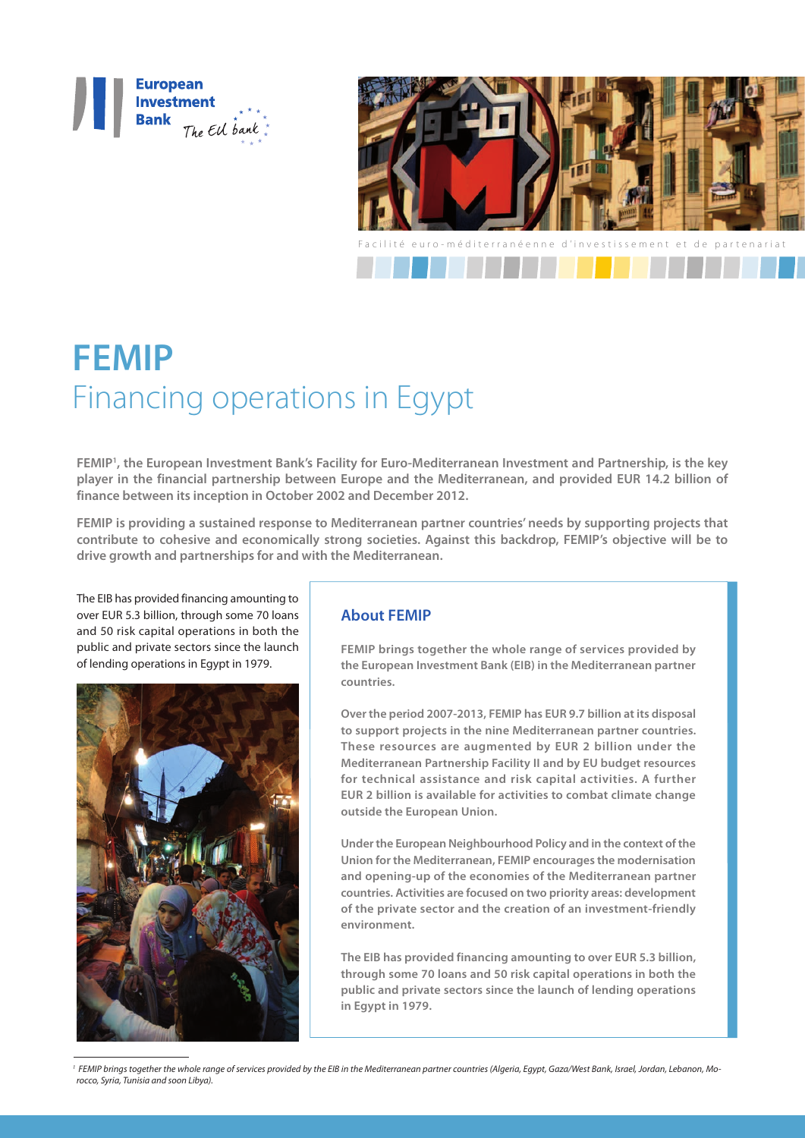



# **FEMIP** Financing operations in Egypt

**FEMIP1 , the European Investment Bank's Facility for Euro-Mediterranean Investment and Partnership, is the key player in the financial partnership between Europe and the Mediterranean, and provided EUR 14.2 billion of finance between its inception in October 2002 and December 2012.** 

**FEMIP is providing a sustained response to Mediterranean partner countries' needs by supporting projects that contribute to cohesive and economically strong societies. Against this backdrop, FEMIP's objective will be to drive growth and partnerships for and with the Mediterranean.**

The EIB has provided financing amounting to over EUR 5.3 billion, through some 70 loans and 50 risk capital operations in both the public and private sectors since the launch of lending operations in Egypt in 1979.



## **About FEMIP**

**FEMIP brings together the whole range of services provided by the European Investment Bank (EIB) in the Mediterranean partner countries.** 

**Over the period 2007-2013, FEMIP has EUR 9.7 billion at its disposal to support projects in the nine Mediterranean partner countries. These resources are augmented by EUR 2 billion under the Mediterranean Partnership Facility II and by EU budget resources for technical assistance and risk capital activities. A further EUR 2 billion is available for activities to combat climate change outside the European Union.**

**Under the European Neighbourhood Policy and in the context of the Union for the Mediterranean, FEMIP encourages the modernisation and opening-up of the economies of the Mediterranean partner countries. Activities are focused on two priority areas: development of the private sector and the creation of an investment-friendly environment.**

**The EIB has provided financing amounting to over EUR 5.3 billion, through some 70 loans and 50 risk capital operations in both the public and private sectors since the launch of lending operations in Egypt in 1979.**

<sup>1</sup> FEMIP brings together the whole range of services provided by the EIB in the Mediterranean partner countries (Algeria, Egypt, Gaza/West Bank, Israel, Jordan, Lebanon, Mo*rocco, Syria, Tunisia and soon Libya).*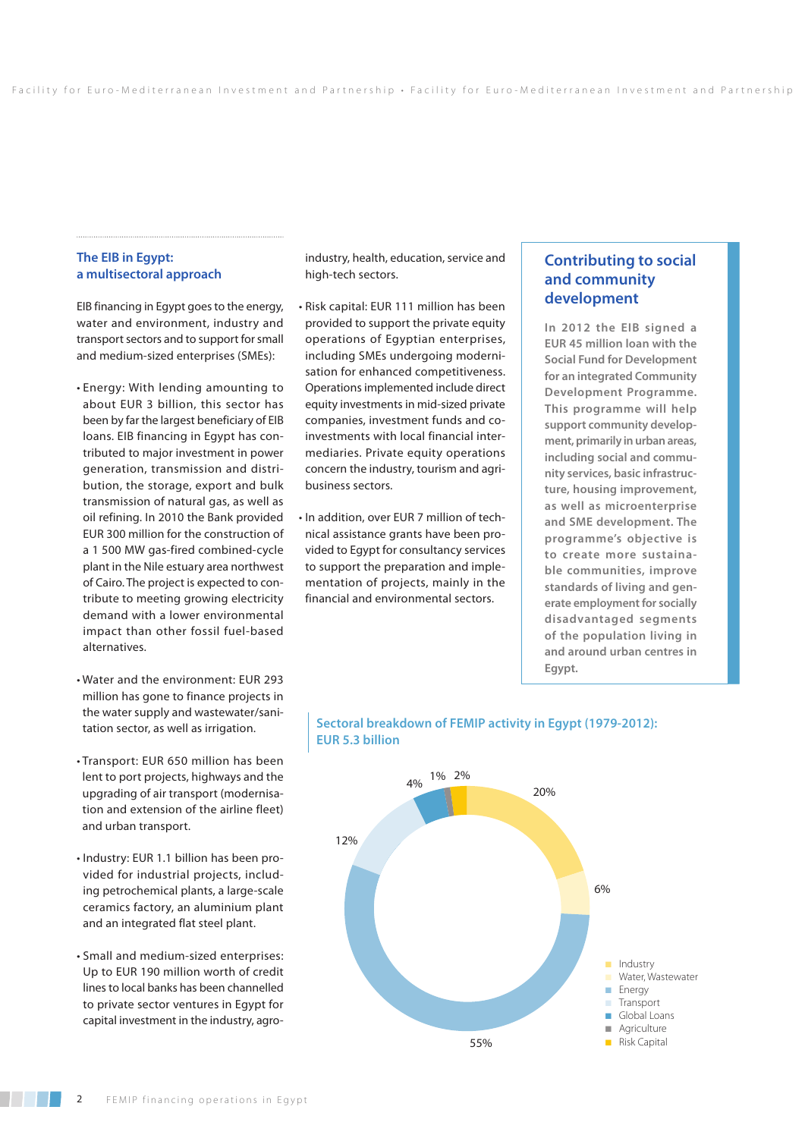## **The EIB in Egypt: a multisectoral approach**

EIB financing in Egypt goes to the energy, water and environment, industry and transport sectors and to support for small and medium-sized enterprises (SMEs):

- Energy: With lending amounting to about EUR 3 billion, this sector has been by far the largest beneficiary of EIB loans. EIB financing in Egypt has contributed to major investment in power generation, transmission and distribution, the storage, export and bulk transmission of natural gas, as well as oil refining. In 2010 the Bank provided EUR 300 million for the construction of a 1 500 MW gas-fired combined-cycle plant in the Nile estuary area northwest of Cairo. The project is expected to contribute to meeting growing electricity demand with a lower environmental impact than other fossil fuel-based alternatives.
- Water and the environment: EUR 293 million has gone to finance projects in the water supply and wastewater/sanitation sector, as well as irrigation.
- Transport: EUR 650 million has been lent to port projects, highways and the upgrading of air transport (modernisation and extension of the airline fleet) and urban transport.
- Industry: EUR 1.1 billion has been provided for industrial projects, including petrochemical plants, a large-scale ceramics factory, an aluminium plant and an integrated flat steel plant.
- Small and medium-sized enterprises: Up to EUR 190 million worth of credit lines to local banks has been channelled to private sector ventures in Egypt for capital investment in the industry, agro-

industry, health, education, service and high-tech sectors.

- Risk capital: EUR 111 million has been provided to support the private equity operations of Egyptian enterprises, including SMEs undergoing modernisation for enhanced competitiveness. Operations implemented include direct equity investments in mid-sized private companies, investment funds and coinvestments with local financial intermediaries. Private equity operations concern the industry, tourism and agribusiness sectors.
- In addition, over EUR 7 million of technical assistance grants have been provided to Egypt for consultancy services to support the preparation and implementation of projects, mainly in the financial and environmental sectors.

# **Contributing to social and community development**

**In 2012 the EIB signed a EUR 45 million loan with the Social Fund for Development for an integrated Community Development Programme. This programme will help support community development, primarily in urban areas, including social and community services, basic infrastructure, housing improvement, as well as microenterprise and SME development. The programme's objective is to create more sustainable communities, improve standards of living and generate employment for socially disadvantaged segments of the population living in and around urban centres in Egypt.** 



## **Sectoral breakdown of FEMIP activity in Egypt (1979-2012): EUR 5.3 billion**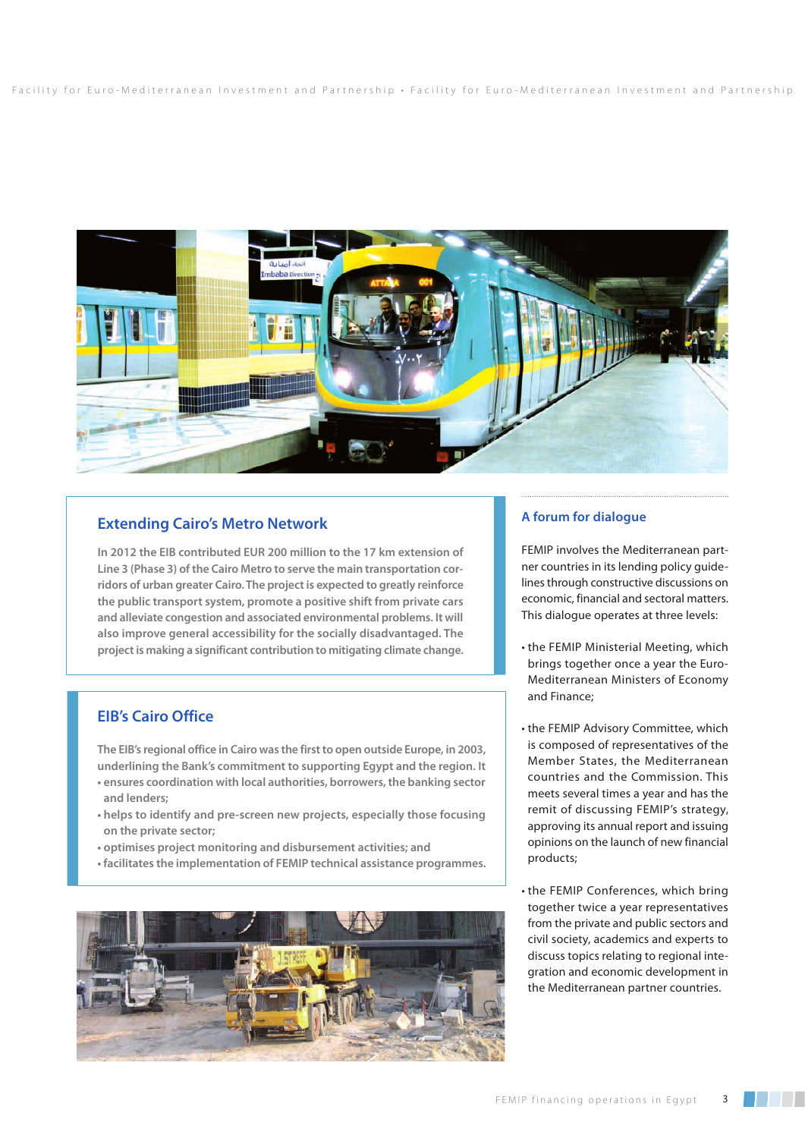

# **Extending Cairo's Metro Network**

**In 2012 the EIB contributed EUR 200 million to the 17 km extension of Line 3 (Phase 3) of the Cairo Metro to serve the main transportation corridors of urban greater Cairo. The project is expected to greatly reinforce the public transport system, promote a positive shift from private cars and alleviate congestion and associated environmental problems. It will also improve general accessibility for the socially disadvantaged. The project is making a significant contribution to mitigating climate change.**

# **EIB's Cairo Office**

**The EIB's regional office in Cairo was the first to open outside Europe, in 2003, underlining the Bank's commitment to supporting Egypt and the region. It** 

- **ensures coordination with local authorities, borrowers, the banking sector and lenders;**
- **helps to identify and pre-screen new projects, especially those focusing on the private sector;**
- **optimises project monitoring and disbursement activities; and**
- **facilitates the implementation of FEMIP technical assistance programmes.**



## **A forum for dialogue**

FEMIP involves the Mediterranean partner countries in its lending policy guidelines through constructive discussions on economic, financial and sectoral matters. This dialogue operates at three levels:

- the FEMIP Ministerial Meeting, which brings together once a year the Euro-Mediterranean Ministers of Economy and Finance;
- the FEMIP Advisory Committee, which is composed of representatives of the Member States, the Mediterranean countries and the Commission. This meets several times a year and has the remit of discussing FEMIP's strategy, approving its annual report and issuing opinions on the launch of new financial products;
- the FEMIP Conferences, which bring together twice a year representatives from the private and public sectors and civil society, academics and experts to discuss topics relating to regional integration and economic development in the Mediterranean partner countries.